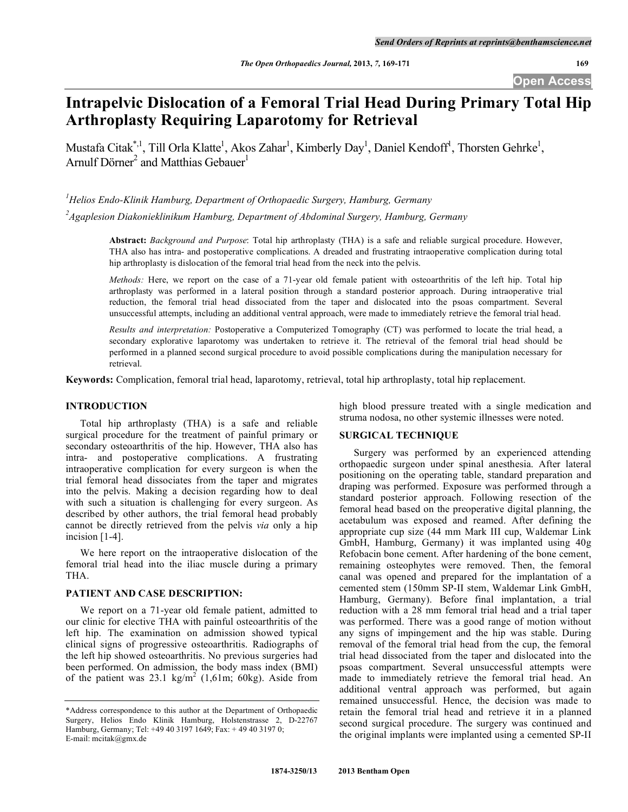**Open Access** 

# **Intrapelvic Dislocation of a Femoral Trial Head During Primary Total Hip Arthroplasty Requiring Laparotomy for Retrieval**

Mustafa Citak<sup>\*,1</sup>, Till Orla Klatte<sup>1</sup>, Akos Zahar<sup>1</sup>, Kimberly Day<sup>1</sup>, Daniel Kendoff<sup>1</sup>, Thorsten Gehrke<sup>1</sup>, Arnulf Dörner<sup>2</sup> and Matthias Gebauer<sup>1</sup>

*1 Helios Endo-Klinik Hamburg, Department of Orthopaedic Surgery, Hamburg, Germany*

*2 Agaplesion Diakonieklinikum Hamburg, Department of Abdominal Surgery, Hamburg, Germany* 

**Abstract:** *Background and Purpose*: Total hip arthroplasty (THA) is a safe and reliable surgical procedure. However, THA also has intra- and postoperative complications. A dreaded and frustrating intraoperative complication during total hip arthroplasty is dislocation of the femoral trial head from the neck into the pelvis.

*Methods:* Here, we report on the case of a 71-year old female patient with osteoarthritis of the left hip. Total hip arthroplasty was performed in a lateral position through a standard posterior approach. During intraoperative trial reduction, the femoral trial head dissociated from the taper and dislocated into the psoas compartment. Several unsuccessful attempts, including an additional ventral approach, were made to immediately retrieve the femoral trial head.

*Results and interpretation:* Postoperative a Computerized Tomography (CT) was performed to locate the trial head, a secondary explorative laparotomy was undertaken to retrieve it. The retrieval of the femoral trial head should be performed in a planned second surgical procedure to avoid possible complications during the manipulation necessary for retrieval.

**Keywords:** Complication, femoral trial head, laparotomy, retrieval, total hip arthroplasty, total hip replacement.

# **INTRODUCTION**

 Total hip arthroplasty (THA) is a safe and reliable surgical procedure for the treatment of painful primary or secondary osteoarthritis of the hip. However, THA also has intra- and postoperative complications. A frustrating intraoperative complication for every surgeon is when the trial femoral head dissociates from the taper and migrates into the pelvis. Making a decision regarding how to deal with such a situation is challenging for every surgeon. As described by other authors, the trial femoral head probably cannot be directly retrieved from the pelvis *via* only a hip incision [1-4].

 We here report on the intraoperative dislocation of the femoral trial head into the iliac muscle during a primary THA.

# **PATIENT AND CASE DESCRIPTION:**

 We report on a 71-year old female patient, admitted to our clinic for elective THA with painful osteoarthritis of the left hip. The examination on admission showed typical clinical signs of progressive osteoarthritis. Radiographs of the left hip showed osteoarthritis. No previous surgeries had been performed. On admission, the body mass index (BMI) of the patient was 23.1 kg/m<sup>2</sup> (1,61m; 60kg). Aside from high blood pressure treated with a single medication and struma nodosa, no other systemic illnesses were noted.

### **SURGICAL TECHNIQUE**

 Surgery was performed by an experienced attending orthopaedic surgeon under spinal anesthesia. After lateral positioning on the operating table, standard preparation and draping was performed. Exposure was performed through a standard posterior approach. Following resection of the femoral head based on the preoperative digital planning, the acetabulum was exposed and reamed. After defining the appropriate cup size (44 mm Mark III cup, Waldemar Link GmbH, Hamburg, Germany) it was implanted using 40g Refobacin bone cement. After hardening of the bone cement, remaining osteophytes were removed. Then, the femoral canal was opened and prepared for the implantation of a cemented stem (150mm SP-II stem, Waldemar Link GmbH, Hamburg, Germany). Before final implantation, a trial reduction with a 28 mm femoral trial head and a trial taper was performed. There was a good range of motion without any signs of impingement and the hip was stable. During removal of the femoral trial head from the cup, the femoral trial head dissociated from the taper and dislocated into the psoas compartment. Several unsuccessful attempts were made to immediately retrieve the femoral trial head. An additional ventral approach was performed, but again remained unsuccessful. Hence, the decision was made to retain the femoral trial head and retrieve it in a planned second surgical procedure. The surgery was continued and the original implants were implanted using a cemented SP-II

<sup>\*</sup>Address correspondence to this author at the Department of Orthopaedic Surgery, Helios Endo Klinik Hamburg, Holstenstrasse 2, D-22767 Hamburg, Germany; Tel: +49 40 3197 1649; Fax: + 49 40 3197 0; E-mail: mcitak@gmx.de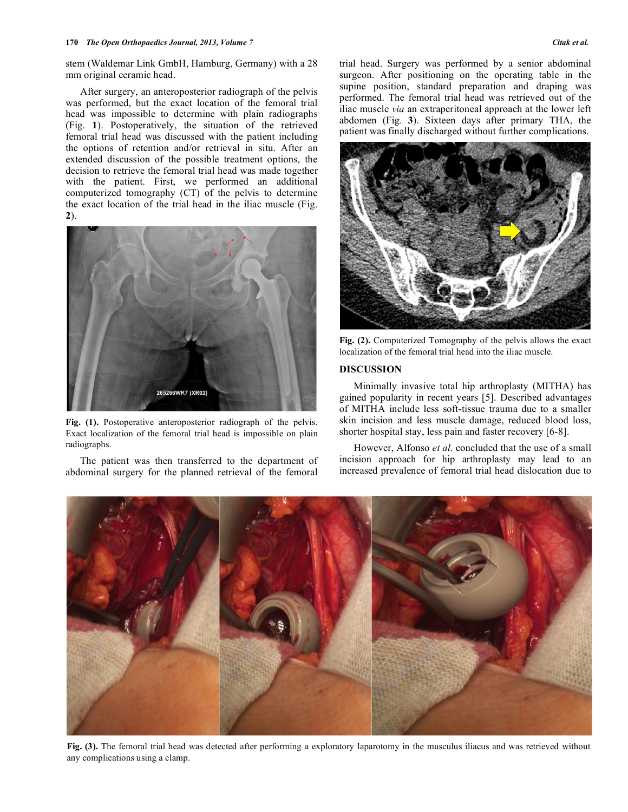stem (Waldemar Link GmbH, Hamburg, Germany) with a 28 mm original ceramic head.

 After surgery, an anteroposterior radiograph of the pelvis was performed, but the exact location of the femoral trial head was impossible to determine with plain radiographs (Fig. **1**). Postoperatively, the situation of the retrieved femoral trial head was discussed with the patient including the options of retention and/or retrieval in situ. After an extended discussion of the possible treatment options, the decision to retrieve the femoral trial head was made together with the patient. First, we performed an additional computerized tomography (CT) of the pelvis to determine the exact location of the trial head in the iliac muscle (Fig. **2**).



Fig. (1). Postoperative anteroposterior radiograph of the pelvis. Exact localization of the femoral trial head is impossible on plain radiographs.

 The patient was then transferred to the department of abdominal surgery for the planned retrieval of the femoral

trial head. Surgery was performed by a senior abdominal surgeon. After positioning on the operating table in the supine position, standard preparation and draping was performed. The femoral trial head was retrieved out of the iliac muscle *via* an extraperitoneal approach at the lower left abdomen (Fig. **3**). Sixteen days after primary THA, the patient was finally discharged without further complications.



**Fig. (2).** Computerized Tomography of the pelvis allows the exact localization of the femoral trial head into the iliac muscle.

### **DISCUSSION**

 Minimally invasive total hip arthroplasty (MITHA) has gained popularity in recent years [5]. Described advantages of MITHA include less soft-tissue trauma due to a smaller skin incision and less muscle damage, reduced blood loss, shorter hospital stay, less pain and faster recovery [6-8].

 However, Alfonso *et al*. concluded that the use of a small incision approach for hip arthroplasty may lead to an increased prevalence of femoral trial head dislocation due to



**Fig. (3).** The femoral trial head was detected after performing a exploratory laparotomy in the musculus iliacus and was retrieved without any complications using a clamp.